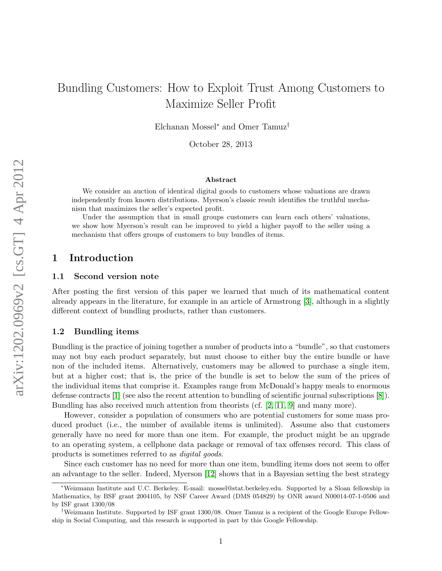# Bundling Customers: How to Exploit Trust Among Customers to Maximize Seller Profit

Elchanan Mossel<sup>∗</sup> and Omer Tamuz†

October 28, 2013

#### Abstract

We consider an auction of identical digital goods to customers whose valuations are drawn independently from known distributions. Myerson's classic result identifies the truthful mechanism that maximizes the seller's expected profit.

Under the assumption that in small groups customers can learn each others' valuations, we show how Myerson's result can be improved to yield a higher payoff to the seller using a mechanism that offers groups of customers to buy bundles of items.

# 1 Introduction

## 1.1 Second version note

After posting the first version of this paper we learned that much of its mathematical content already appears in the literature, for example in an article of Armstrong [\[3\]](#page-9-0), although in a slightly different context of bundling products, rather than customers.

## 1.2 Bundling items

Bundling is the practice of joining together a number of products into a "bundle", so that customers may not buy each product separately, but must choose to either buy the entire bundle or have non of the included items. Alternatively, customers may be allowed to purchase a single item, but at a higher cost; that is, the price of the bundle is set to below the sum of the prices of the individual items that comprise it. Examples range from McDonald's happy meals to enormous defense contracts [\[1\]](#page-9-1) (see also the recent attention to bundling of scientific journal subscriptions [\[8\]](#page-9-2)). Bundling has also received much attention from theorists (cf. [\[2,](#page-9-3) [11,](#page-9-4) [9\]](#page-9-5) and many more).

However, consider a population of consumers who are potential customers for some mass produced product (i.e., the number of available items is unlimited). Assume also that customers generally have no need for more than one item. For example, the product might be an upgrade to an operating system, a cellphone data package or removal of tax offenses record. This class of products is sometimes referred to as digital goods.

Since each customer has no need for more than one item, bundling items does not seem to offer an advantage to the seller. Indeed, Myerson [\[12\]](#page-10-0) shows that in a Bayesian setting the best strategy

<sup>∗</sup>Weizmann Institute and U.C. Berkeley. E-mail: mossel@stat.berkeley.edu. Supported by a Sloan fellowship in Mathematics, by BSF grant 2004105, by NSF Career Award (DMS 054829) by ONR award N00014-07-1-0506 and by ISF grant 1300/08

<sup>†</sup>Weizmann Institute. Supported by ISF grant 1300/08. Omer Tamuz is a recipient of the Google Europe Fellowship in Social Computing, and this research is supported in part by this Google Fellowship.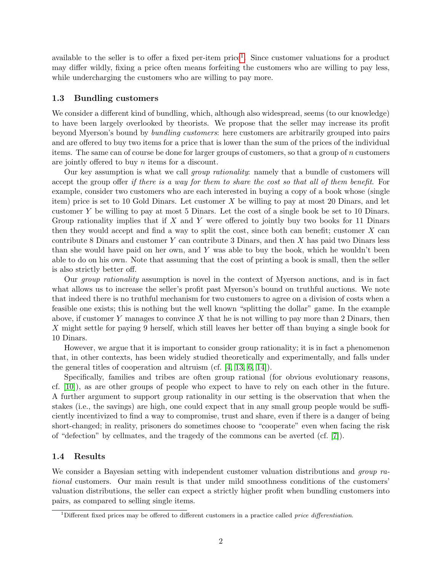available to the seller is to offer a fixed per-item price<sup>[1](#page-1-0)</sup>. Since customer valuations for a product may differ wildly, fixing a price often means forfeiting the customers who are willing to pay less, while undercharging the customers who are willing to pay more.

## 1.3 Bundling customers

We consider a different kind of bundling, which, although also widespread, seems (to our knowledge) to have been largely overlooked by theorists. We propose that the seller may increase its profit beyond Myerson's bound by bundling customers: here customers are arbitrarily grouped into pairs and are offered to buy two items for a price that is lower than the sum of the prices of the individual items. The same can of course be done for larger groups of customers, so that a group of  $n$  customers are jointly offered to buy  $n$  items for a discount.

Our key assumption is what we call group rationality: namely that a bundle of customers will accept the group offer if there is a way for them to share the cost so that all of them benefit. For example, consider two customers who are each interested in buying a copy of a book whose (single item) price is set to 10 Gold Dinars. Let customer X be willing to pay at most 20 Dinars, and let customer Y be willing to pay at most 5 Dinars. Let the cost of a single book be set to 10 Dinars. Group rationality implies that if  $X$  and  $Y$  were offered to jointly buy two books for 11 Dinars then they would accept and find a way to split the cost, since both can benefit; customer  $X$  can contribute 8 Dinars and customer Y can contribute 3 Dinars, and then X has paid two Dinars less than she would have paid on her own, and  $Y$  was able to buy the book, which he wouldn't been able to do on his own. Note that assuming that the cost of printing a book is small, then the seller is also strictly better off.

Our group rationality assumption is novel in the context of Myerson auctions, and is in fact what allows us to increase the seller's profit past Myerson's bound on truthful auctions. We note that indeed there is no truthful mechanism for two customers to agree on a division of costs when a feasible one exists; this is nothing but the well known "splitting the dollar" game. In the example above, if customer Y manages to convince X that he is not willing to pay more than 2 Dinars, then X might settle for paying 9 herself, which still leaves her better off than buying a single book for 10 Dinars.

However, we argue that it is important to consider group rationality; it is in fact a phenomenon that, in other contexts, has been widely studied theoretically and experimentally, and falls under the general titles of cooperation and altruism (cf. [\[4,](#page-9-6) [13,](#page-10-1) [6,](#page-9-7) [14\]](#page-10-2)).

Specifically, families and tribes are often group rational (for obvious evolutionary reasons, cf. [\[10\]](#page-9-8)), as are other groups of people who expect to have to rely on each other in the future. A further argument to support group rationality in our setting is the observation that when the stakes (i.e., the savings) are high, one could expect that in any small group people would be sufficiently incentivized to find a way to compromise, trust and share, even if there is a danger of being short-changed; in reality, prisoners do sometimes choose to "cooperate" even when facing the risk of "defection" by cellmates, and the tragedy of the commons can be averted (cf. [\[7\]](#page-9-9)).

#### 1.4 Results

We consider a Bayesian setting with independent customer valuation distributions and group rational customers. Our main result is that under mild smoothness conditions of the customers' valuation distributions, the seller can expect a strictly higher profit when bundling customers into pairs, as compared to selling single items.

<span id="page-1-0"></span><sup>&</sup>lt;sup>1</sup>Different fixed prices may be offered to different customers in a practice called *price differentiation*.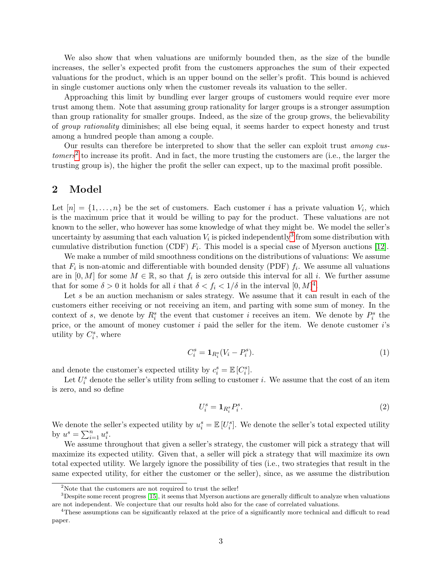We also show that when valuations are uniformly bounded then, as the size of the bundle increases, the seller's expected profit from the customers approaches the sum of their expected valuations for the product, which is an upper bound on the seller's profit. This bound is achieved in single customer auctions only when the customer reveals its valuation to the seller.

Approaching this limit by bundling ever larger groups of customers would require ever more trust among them. Note that assuming group rationality for larger groups is a stronger assumption than group rationality for smaller groups. Indeed, as the size of the group grows, the believability of group rationality diminishes; all else being equal, it seems harder to expect honesty and trust among a hundred people than among a couple.

Our results can therefore be interpreted to show that the seller can exploit trust among cus- $to <sup>2</sup>$  $to <sup>2</sup>$  $to <sup>2</sup>$  to increase its profit. And in fact, the more trusting the customers are (i.e., the larger the trusting group is), the higher the profit the seller can expect, up to the maximal profit possible.

# 2 Model

Let  $[n] = \{1, \ldots, n\}$  be the set of customers. Each customer i has a private valuation  $V_i$ , which is the maximum price that it would be willing to pay for the product. These valuations are not known to the seller, who however has some knowledge of what they might be. We model the seller's uncertainty by assuming that each valuation  $V_i$  is picked independently<sup>[3](#page-2-1)</sup> from some distribution with cumulative distribution function (CDF)  $F_i$ . This model is a special case of Myerson auctions [\[12\]](#page-10-0).

We make a number of mild smoothness conditions on the distributions of valuations: We assume that  $F_i$  is non-atomic and differentiable with bounded density (PDF)  $f_i$ . We assume all valuations are in  $[0, M]$  for some  $M \in \mathbb{R}$ , so that  $f_i$  is zero outside this interval for all i. We further assume that for some  $\delta > 0$  it holds for all i that  $\delta < f_i < 1/\delta$  in the interval  $[0, M]^4$  $[0, M]^4$ .

Let s be an auction mechanism or sales strategy. We assume that it can result in each of the customers either receiving or not receiving an item, and parting with some sum of money. In the context of s, we denote by  $R_i^s$  the event that customer i receives an item. We denote by  $P_i^s$  the price, or the amount of money customer  $i$  paid the seller for the item. We denote customer  $i$ 's utility by  $C_i^s$ , where

$$
C_i^s = \mathbf{1}_{R_i^s}(V_i - P_i^s). \tag{1}
$$

and denote the customer's expected utility by  $c_i^s = \mathbb{E}\left[C_i^s\right]$ .

Let  $U_i^s$  denote the seller's utility from selling to customer *i*. We assume that the cost of an item is zero, and so define

$$
U_i^s = \mathbf{1}_{R_i^s} P_i^s. \tag{2}
$$

We denote the seller's expected utility by  $u_i^s = \mathbb{E}[U_i^s]$ . We denote the seller's total expected utility by  $u^s = \sum_{i=1}^n u_i^s$ .

We assume throughout that given a seller's strategy, the customer will pick a strategy that will maximize its expected utility. Given that, a seller will pick a strategy that will maximize its own total expected utility. We largely ignore the possibility of ties (i.e., two strategies that result in the same expected utility, for either the customer or the seller), since, as we assume the distribution

<span id="page-2-1"></span><span id="page-2-0"></span><sup>&</sup>lt;sup>2</sup>Note that the customers are not required to trust the seller!

<sup>3</sup>Despite some recent progress [\[15\]](#page-10-3), it seems that Myerson auctions are generally difficult to analyze when valuations are not independent. We conjecture that our results hold also for the case of correlated valuations.

<span id="page-2-2"></span><sup>4</sup>These assumptions can be significantly relaxed at the price of a significantly more technical and difficult to read paper.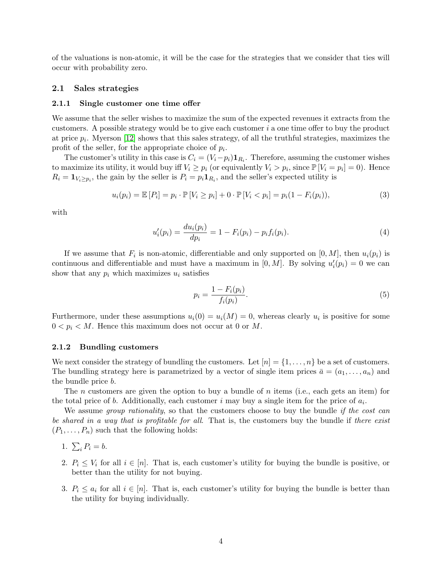of the valuations is non-atomic, it will be the case for the strategies that we consider that ties will occur with probability zero.

## 2.1 Sales strategies

#### <span id="page-3-0"></span>2.1.1 Single customer one time offer

We assume that the seller wishes to maximize the sum of the expected revenues it extracts from the customers. A possible strategy would be to give each customer i a one time offer to buy the product at price  $p_i$ . Myerson [\[12\]](#page-10-0) shows that this sales strategy, of all the truthful strategies, maximizes the profit of the seller, for the appropriate choice of  $p_i$ .

The customer's utility in this case is  $C_i = (V_i - p_i) \mathbf{1}_{R_i}$ . Therefore, assuming the customer wishes to maximize its utility, it would buy iff  $V_i \ge p_i$  (or equivalently  $V_i > p_i$ , since  $\mathbb{P}[V_i = p_i] = 0$ ). Hence  $R_i = \mathbf{1}_{V_i \geq p_i}$ , the gain by the seller is  $P_i = p_i \mathbf{1}_{R_i}$ , and the seller's expected utility is

$$
u_i(p_i) = \mathbb{E}[P_i] = p_i \cdot \mathbb{P}[V_i \ge p_i] + 0 \cdot \mathbb{P}[V_i < p_i] = p_i(1 - F_i(p_i)),\tag{3}
$$

with

$$
u'_{i}(p_{i}) = \frac{du_{i}(p_{i})}{dp_{i}} = 1 - F_{i}(p_{i}) - p_{i}f_{i}(p_{i}).
$$
\n(4)

If we assume that  $F_i$  is non-atomic, differentiable and only supported on  $[0, M]$ , then  $u_i(p_i)$  is continuous and differentiable and must have a maximum in  $[0, M]$ . By solving  $u'_{i}(p_{i}) = 0$  we can show that any  $p_i$  which maximizes  $u_i$  satisfies

$$
p_i = \frac{1 - F_i(p_i)}{f_i(p_i)}.
$$
\n(5)

Furthermore, under these assumptions  $u_i(0) = u_i(M) = 0$ , whereas clearly  $u_i$  is positive for some  $0 < p_i < M$ . Hence this maximum does not occur at 0 or M.

#### 2.1.2 Bundling customers

We next consider the strategy of bundling the customers. Let  $[n] = \{1, \ldots, n\}$  be a set of customers. The bundling strategy here is parametrized by a vector of single item prices  $\bar{a} = (a_1, \ldots, a_n)$  and the bundle price b.

The *n* customers are given the option to buy a bundle of *n* items (i.e., each gets an item) for the total price of b. Additionally, each customer i may buy a single item for the price of  $a_i$ .

We assume *group rationality*, so that the customers choose to buy the bundle *if the cost can* be shared in a way that is profitable for all. That is, the customers buy the bundle if there exist  $(P_1, \ldots, P_n)$  such that the following holds:

- 1.  $\sum_i P_i = b$ .
- 2.  $P_i \leq V_i$  for all  $i \in [n]$ . That is, each customer's utility for buying the bundle is positive, or better than the utility for not buying.
- 3.  $P_i \leq a_i$  for all  $i \in [n]$ . That is, each customer's utility for buying the bundle is better than the utility for buying individually.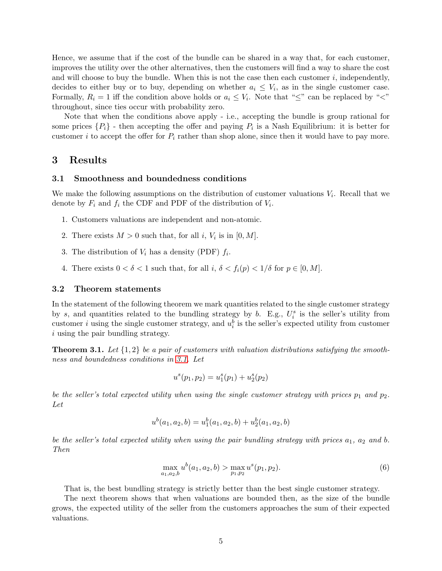Hence, we assume that if the cost of the bundle can be shared in a way that, for each customer, improves the utility over the other alternatives, then the customers will find a way to share the cost and will choose to buy the bundle. When this is not the case then each customer  $i$ , independently, decides to either buy or to buy, depending on whether  $a_i \leq V_i$ , as in the single customer case. Formally,  $R_i = 1$  iff the condition above holds or  $a_i \leq V_i$ . Note that " $\leq$ " can be replaced by " $\lt$ " throughout, since ties occur with probability zero.

Note that when the conditions above apply - i.e., accepting the bundle is group rational for some prices  $\{P_i\}$  - then accepting the offer and paying  $P_i$  is a Nash Equilibrium: it is better for customer i to accept the offer for  $P_i$  rather than shop alone, since then it would have to pay more.

# 3 Results

#### <span id="page-4-0"></span>3.1 Smoothness and boundedness conditions

We make the following assumptions on the distribution of customer valuations  $V_i$ . Recall that we denote by  $F_i$  and  $f_i$  the CDF and PDF of the distribution of  $V_i$ .

- 1. Customers valuations are independent and non-atomic.
- 2. There exists  $M > 0$  such that, for all i,  $V_i$  is in  $[0, M]$ .
- 3. The distribution of  $V_i$  has a density (PDF)  $f_i$ .
- 4. There exists  $0 < \delta < 1$  such that, for all  $i, \delta < f_i(p) < 1/\delta$  for  $p \in [0, M]$ .

#### 3.2 Theorem statements

In the statement of the following theorem we mark quantities related to the single customer strategy by s, and quantities related to the bundling strategy by b. E.g.,  $U_i^s$  is the seller's utility from customer *i* using the single customer strategy, and  $u_i^b$  is the seller's expected utility from customer i using the pair bundling strategy.

<span id="page-4-1"></span>**Theorem 3.1.** Let  $\{1, 2\}$  be a pair of customers with valuation distributions satisfying the smoothness and boundedness conditions in [3.1.](#page-4-0) Let

$$
u^{s}(p_1, p_2) = u_1^{s}(p_1) + u_2^{s}(p_2)
$$

be the seller's total expected utility when using the single customer strategy with prices  $p_1$  and  $p_2$ . Let

$$
u^{b}(a_1, a_2, b) = u_1^{b}(a_1, a_2, b) + u_2^{b}(a_1, a_2, b)
$$

be the seller's total expected utility when using the pair bundling strategy with prices  $a_1$ ,  $a_2$  and b. Then

$$
\max_{a_1, a_2, b} u^b(a_1, a_2, b) > \max_{p_1, p_2} u^s(p_1, p_2). \tag{6}
$$

That is, the best bundling strategy is strictly better than the best single customer strategy.

The next theorem shows that when valuations are bounded then, as the size of the bundle grows, the expected utility of the seller from the customers approaches the sum of their expected valuations.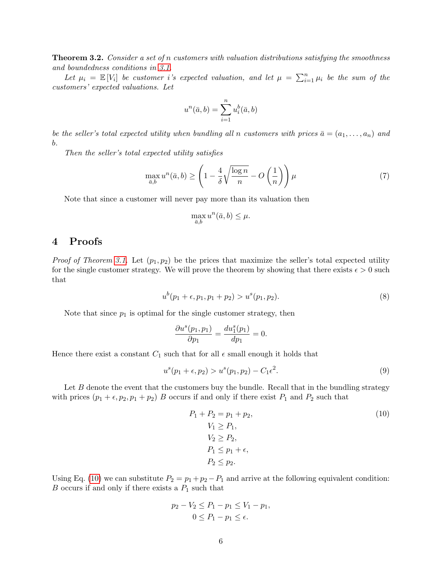<span id="page-5-2"></span>**Theorem 3.2.** Consider a set of n customers with valuation distributions satisfying the smoothness and boundedness conditions in [3.1.](#page-4-0)

Let  $\mu_i = \mathbb{E}[V_i]$  be customer i's expected valuation, and let  $\mu = \sum_{i=1}^n \mu_i$  be the sum of the customers' expected valuations. Let

$$
u^{n}(\bar{a},b) = \sum_{i=1}^{n} u_{i}^{b}(\bar{a},b)
$$

be the seller's total expected utility when bundling all n customers with prices  $\bar{a} = (a_1, \ldots, a_n)$  and b.

Then the seller's total expected utility satisfies

$$
\max_{\bar{a},b} u^n(\bar{a},b) \ge \left(1 - \frac{4}{\delta} \sqrt{\frac{\log n}{n}} - O\left(\frac{1}{n}\right)\right) \mu \tag{7}
$$

Note that since a customer will never pay more than its valuation then

$$
\max_{\bar{a},b} u^n(\bar{a},b) \le \mu.
$$

# 4 Proofs

*Proof of Theorem [3.1.](#page-4-1)* Let  $(p_1, p_2)$  be the prices that maximize the seller's total expected utility for the single customer strategy. We will prove the theorem by showing that there exists  $\epsilon > 0$  such that

$$
u^{b}(p_{1}+\epsilon, p_{1}, p_{1}+p_{2}) > u^{s}(p_{1}, p_{2}). \qquad (8)
$$

Note that since  $p_1$  is optimal for the single customer strategy, then

$$
\frac{\partial u^s(p_1, p_1)}{\partial p_1} = \frac{du_1^s(p_1)}{dp_1} = 0.
$$

Hence there exist a constant  $C_1$  such that for all  $\epsilon$  small enough it holds that

$$
u^{s}(p_{1} + \epsilon, p_{2}) > u^{s}(p_{1}, p_{2}) - C_{1}\epsilon^{2}.
$$
\n(9)

Let  $B$  denote the event that the customers buy the bundle. Recall that in the bundling strategy with prices  $(p_1 + \epsilon, p_2, p_1 + p_2)$  B occurs if and only if there exist  $P_1$  and  $P_2$  such that

<span id="page-5-1"></span><span id="page-5-0"></span>
$$
P_1 + P_2 = p_1 + p_2,
$$
  
\n
$$
V_1 \ge P_1,
$$
  
\n
$$
V_2 \ge P_2,
$$
  
\n
$$
P_1 \le p_1 + \epsilon,
$$
  
\n
$$
P_2 \le p_2.
$$
  
\n(10)

Using Eq. [\(10\)](#page-5-0) we can substitute  $P_2 = p_1 + p_2 - P_1$  and arrive at the following equivalent condition:  $B$  occurs if and only if there exists a  $P_1$  such that

$$
p_2 - V_2 \le P_1 - p_1 \le V_1 - p_1,
$$
  

$$
0 \le P_1 - p_1 \le \epsilon.
$$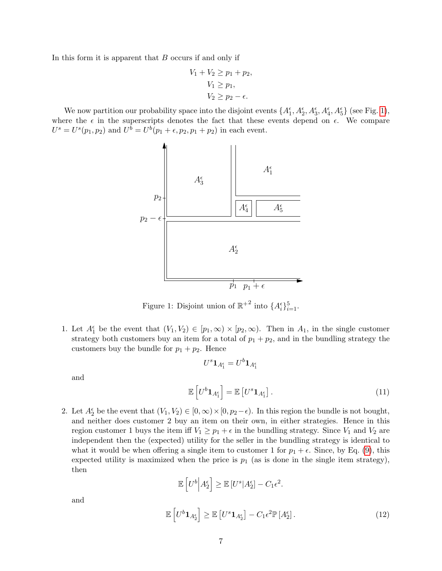In this form it is apparent that B occurs if and only if

$$
V_1 + V_2 \ge p_1 + p_2,
$$
  
\n
$$
V_1 \ge p_1,
$$
  
\n
$$
V_2 \ge p_2 - \epsilon.
$$

We now partition our probability space into the disjoint events  $\{A_1^{\epsilon}, A_2^{\epsilon}, A_3^{\epsilon}, A_4^{\epsilon}, A_5^{\epsilon}\}\$  (see Fig. [1\)](#page-6-0), where the  $\epsilon$  in the superscripts denotes the fact that these events depend on  $\epsilon$ . We compare  $U^s = U^s(p_1, p_2)$  and  $U^b = U^b(p_1 + \epsilon, p_2, p_1 + p_2)$  in each event.



<span id="page-6-0"></span>Figure 1: Disjoint union of  $\mathbb{R}^{+2}$  into  $\{A_i^{\epsilon}\}_{i=1}^{5}$ .

1. Let  $A_1^{\epsilon}$  be the event that  $(V_1, V_2) \in [p_1, \infty) \times [p_2, \infty)$ . Then in  $A_1$ , in the single customer strategy both customers buy an item for a total of  $p_1 + p_2$ , and in the bundling strategy the customers buy the bundle for  $p_1 + p_2$ . Hence

<span id="page-6-1"></span> $U^s {\bf 1}_{A_1^{\epsilon}} = U^b {\bf 1}_{A_1^{\epsilon}}$ 

and

$$
\mathbb{E}\left[U^b \mathbf{1}_{A_1^{\epsilon}}\right] = \mathbb{E}\left[U^s \mathbf{1}_{A_1^{\epsilon}}\right].\tag{11}
$$

2. Let  $A_2^{\epsilon}$  be the event that  $(V_1, V_2) \in [0, \infty) \times [0, p_2 - \epsilon)$ . In this region the bundle is not bought, and neither does customer 2 buy an item on their own, in either strategies. Hence in this region customer 1 buys the item iff  $V_1 \geq p_1 + \epsilon$  in the bundling strategy. Since  $V_1$  and  $V_2$  are independent then the (expected) utility for the seller in the bundling strategy is identical to what it would be when offering a single item to customer 1 for  $p_1 + \epsilon$ . Since, by Eq. [\(9\)](#page-5-1), this expected utility is maximized when the price is  $p_1$  (as is done in the single item strategy), then

<span id="page-6-2"></span>
$$
\mathbb{E}\left[U^b\Big|A_2^{\epsilon}\right] \ge \mathbb{E}\left[U^s|A_2^{\epsilon}\right] - C_1\epsilon^2.
$$
\n
$$
\mathbb{E}\left[U^b\mathbf{1}_{A_2^{\epsilon}}\right] \ge \mathbb{E}\left[U^s\mathbf{1}_{A_2^{\epsilon}}\right] - C_1\epsilon^2 \mathbb{P}\left[A_2^{\epsilon}\right].
$$
\n(12)

and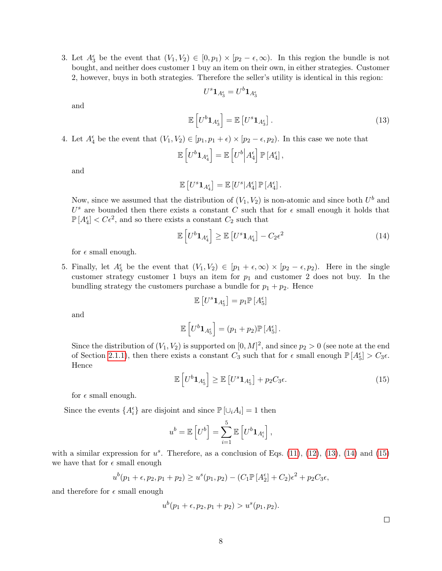3. Let  $A_3^{\epsilon}$  be the event that  $(V_1, V_2) \in [0, p_1) \times [p_2 - \epsilon, \infty)$ . In this region the bundle is not bought, and neither does customer 1 buy an item on their own, in either strategies. Customer 2, however, buys in both strategies. Therefore the seller's utility is identical in this region:

<span id="page-7-0"></span> $U^s {\bf 1}_{A_3^{\epsilon}} = U^b {\bf 1}_{A_3^{\epsilon}}$ 

and

$$
\mathbb{E}\left[U^b \mathbf{1}_{A_3^{\epsilon}}\right] = \mathbb{E}\left[U^s \mathbf{1}_{A_3^{\epsilon}}\right].\tag{13}
$$

4. Let  $A_4^{\epsilon}$  be the event that  $(V_1, V_2) \in [p_1, p_1 + \epsilon) \times [p_2 - \epsilon, p_2)$ . In this case we note that

$$
\mathbb{E}\left[U^b\mathbf{1}_{A_4^{\epsilon}}\right] = \mathbb{E}\left[U^b\Big|A_4^{\epsilon}\right]\mathbb{P}\left[A_4^{\epsilon}\right],
$$

and

$$
\mathbb{E}\left[U^s\mathbf{1}_{A_4^{\epsilon}}\right] = \mathbb{E}\left[U^s|A_4^{\epsilon}\right]\mathbb{P}\left[A_4^{\epsilon}\right].
$$

Now, since we assumed that the distribution of  $(V_1, V_2)$  is non-atomic and since both  $U^b$  and  $U^s$  are bounded then there exists a constant C such that for  $\epsilon$  small enough it holds that  $\mathbb{P}[A_4^{\epsilon}] < C\epsilon^2$ , and so there exists a constant  $C_2$  such that

$$
\mathbb{E}\left[U^b \mathbf{1}_{A_4^{\epsilon}}\right] \ge \mathbb{E}\left[U^s \mathbf{1}_{A_4^{\epsilon}}\right] - C_2 \epsilon^2 \tag{14}
$$

for  $\epsilon$  small enough.

5. Finally, let  $A_5^{\epsilon}$  be the event that  $(V_1, V_2) \in [p_1 + \epsilon, \infty) \times [p_2 - \epsilon, p_2)$ . Here in the single customer strategy customer 1 buys an item for  $p_1$  and customer 2 does not buy. In the bundling strategy the customers purchase a bundle for  $p_1 + p_2$ . Hence

<span id="page-7-1"></span>
$$
\mathbb{E}\left[U^s\mathbf{1}_{A_5^{\epsilon}}\right] = p_1 \mathbb{P}\left[A_5^{\epsilon}\right]
$$

and

$$
\mathbb{E}\left[U^b\mathbf{1}_{A_5^{\epsilon}}\right]=(p_1+p_2)\mathbb{P}\left[A_5^{\epsilon}\right].
$$

Since the distribution of  $(V_1, V_2)$  is supported on  $[0, M]^2$ , and since  $p_2 > 0$  (see note at the end of Section [2.1.1\)](#page-3-0), then there exists a constant  $C_3$  such that for  $\epsilon$  small enough  $\mathbb{P}[A_5^{\epsilon}] > C_3 \epsilon$ . Hence

$$
\mathbb{E}\left[U^b \mathbf{1}_{A_5^{\epsilon}}\right] \ge \mathbb{E}\left[U^s \mathbf{1}_{A_5^{\epsilon}}\right] + p_2 C_3 \epsilon. \tag{15}
$$

for  $\epsilon$  small enough.

Since the events  $\{A_i^{\epsilon}\}\$ are disjoint and since  $\mathbb{P}[\cup_i A_i] = 1$  then

$$
u^{b} = \mathbb{E}\left[U^{b}\right] = \sum_{i=1}^{5} \mathbb{E}\left[U^{b}\mathbf{1}_{A_{i}^{\epsilon}}\right],
$$

with a similar expression for  $u^s$ . Therefore, as a conclusion of Eqs. [\(11\)](#page-6-1), [\(12\)](#page-6-2), [\(13\)](#page-7-0), [\(14\)](#page-7-1) and [\(15\)](#page-7-2) we have that for  $\epsilon$  small enough

$$
u^{b}(p_1 + \epsilon, p_2, p_1 + p_2) \ge u^{s}(p_1, p_2) - (C_1 \mathbb{P}[A_2^{\epsilon}] + C_2)\epsilon^2 + p_2 C_3 \epsilon,
$$

and therefore for  $\epsilon$  small enough

$$
u^{b}(p_{1}+\epsilon, p_{2}, p_{1}+p_{2}) > u^{s}(p_{1}, p_{2}).
$$

<span id="page-7-2"></span> $\Box$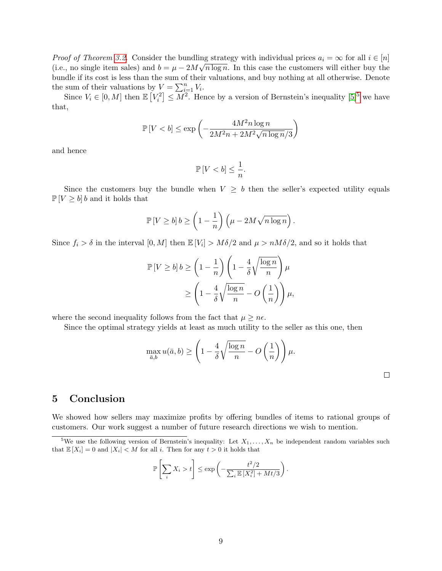*Proof of Theorem [3.2.](#page-5-2)* Consider the bundling strategy with individual prices  $a_i = \infty$  for all  $i \in [n]$ (i.e., no single item sales) and  $b = \mu - 2M\sqrt{n \log n}$ . In this case the customers will either buy the bundle if its cost is less than the sum of their valuations, and buy nothing at all otherwise. Denote the sum of their valuations by  $V = \sum_{i=1}^{n} V_i$ .

Since  $V_i \in [0, M]$  then  $\mathbb{E}\left[V_i^2\right] \leq \overline{M^2}$ . Hence by a version of Bernstein's inequality  $[5]^5$  $[5]^5$  $[5]^5$  we have that,

$$
\mathbb{P}\left[V < b\right] \le \exp\left(-\frac{4M^2n\log n}{2M^2n + 2M^2\sqrt{n\log n}/3}\right)
$$

and hence

$$
\mathbb{P}\left[ V
$$

Since the customers buy the bundle when  $V \geq b$  then the seller's expected utility equals  $\mathbb{P}[V \ge b]$  b and it holds that

$$
\mathbb{P}\left[V \ge b\right]b \ge \left(1 - \frac{1}{n}\right)\left(\mu - 2M\sqrt{n\log n}\right).
$$

Since  $f_i > \delta$  in the interval  $[0, M]$  then  $\mathbb{E}[V_i] > M\delta/2$  and  $\mu > nM\delta/2$ , and so it holds that

$$
\mathbb{P}\left[V \ge b\right]b \ge \left(1 - \frac{1}{n}\right)\left(1 - \frac{4}{\delta}\sqrt{\frac{\log n}{n}}\right)\mu
$$

$$
\ge \left(1 - \frac{4}{\delta}\sqrt{\frac{\log n}{n}} - O\left(\frac{1}{n}\right)\right)\mu,
$$

where the second inequality follows from the fact that  $\mu \geq n\epsilon$ .

Since the optimal strategy yields at least as much utility to the seller as this one, then

$$
\max_{\bar{a},b} u(\bar{a},b) \ge \left(1 - \frac{4}{\delta} \sqrt{\frac{\log n}{n}} - O\left(\frac{1}{n}\right)\right) \mu.
$$

 $\Box$ 

# 5 Conclusion

We showed how sellers may maximize profits by offering bundles of items to rational groups of customers. Our work suggest a number of future research directions we wish to mention.

$$
\mathbb{P}\left[\sum_{i} X_{i} > t\right] \leq \exp\left(-\frac{t^{2}/2}{\sum_{i} \mathbb{E}\left[X_{i}^{2}\right] + Mt/3}\right).
$$

<span id="page-8-0"></span><sup>&</sup>lt;sup>5</sup>We use the following version of Bernstein's inequality: Let  $X_1, \ldots, X_n$  be independent random variables such that  $\mathbb{E}[X_i] = 0$  and  $|X_i| < M$  for all i. Then for any  $t > 0$  it holds that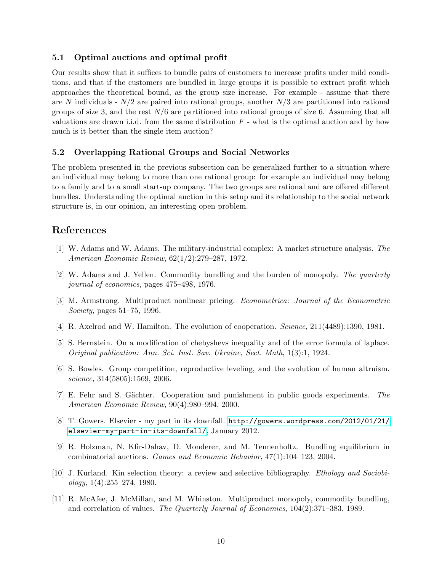## 5.1 Optimal auctions and optimal profit

Our results show that it suffices to bundle pairs of customers to increase profits under mild conditions, and that if the customers are bundled in large groups it is possible to extract profit which approaches the theoretical bound, as the group size increase. For example - assume that there are N individuals -  $N/2$  are paired into rational groups, another  $N/3$  are partitioned into rational groups of size 3, and the rest  $N/6$  are partitioned into rational groups of size 6. Assuming that all valuations are drawn i.i.d. from the same distribution  $F$  - what is the optimal auction and by how much is it better than the single item auction?

## 5.2 Overlapping Rational Groups and Social Networks

The problem presented in the previous subsection can be generalized further to a situation where an individual may belong to more than one rational group: for example an individual may belong to a family and to a small start-up company. The two groups are rational and are offered different bundles. Understanding the optimal auction in this setup and its relationship to the social network structure is, in our opinion, an interesting open problem.

# References

- <span id="page-9-1"></span>[1] W. Adams and W. Adams. The military-industrial complex: A market structure analysis. The American Economic Review, 62(1/2):279–287, 1972.
- <span id="page-9-3"></span>[2] W. Adams and J. Yellen. Commodity bundling and the burden of monopoly. The quarterly journal of economics, pages 475–498, 1976.
- <span id="page-9-0"></span>[3] M. Armstrong. Multiproduct nonlinear pricing. Econometrica: Journal of the Econometric Society, pages 51–75, 1996.
- <span id="page-9-6"></span>[4] R. Axelrod and W. Hamilton. The evolution of cooperation. Science, 211(4489):1390, 1981.
- <span id="page-9-10"></span>[5] S. Bernstein. On a modification of chebyshevs inequality and of the error formula of laplace. Original publication: Ann. Sci. Inst. Sav. Ukraine, Sect. Math, 1(3):1, 1924.
- <span id="page-9-7"></span>[6] S. Bowles. Group competition, reproductive leveling, and the evolution of human altruism. science, 314(5805):1569, 2006.
- <span id="page-9-9"></span>[7] E. Fehr and S. Gächter. Cooperation and punishment in public goods experiments. The American Economic Review, 90(4):980–994, 2000.
- <span id="page-9-2"></span>[8] T. Gowers. Elsevier - my part in its downfall. [http://gowers.wordpress.com/2012/01/21/](http://gowers.wordpress.com/2012/01/21/elsevier-my-part-in-its-downfall/) [elsevier-my-part-in-its-downfall/](http://gowers.wordpress.com/2012/01/21/elsevier-my-part-in-its-downfall/), January 2012.
- <span id="page-9-5"></span>[9] R. Holzman, N. Kfir-Dahav, D. Monderer, and M. Tennenholtz. Bundling equilibrium in combinatorial auctions. Games and Economic Behavior, 47(1):104–123, 2004.
- <span id="page-9-8"></span>[10] J. Kurland. Kin selection theory: a review and selective bibliography. Ethology and Sociobi $ology, 1(4):255-274, 1980.$
- <span id="page-9-4"></span>[11] R. McAfee, J. McMillan, and M. Whinston. Multiproduct monopoly, commodity bundling, and correlation of values. The Quarterly Journal of Economics, 104(2):371–383, 1989.